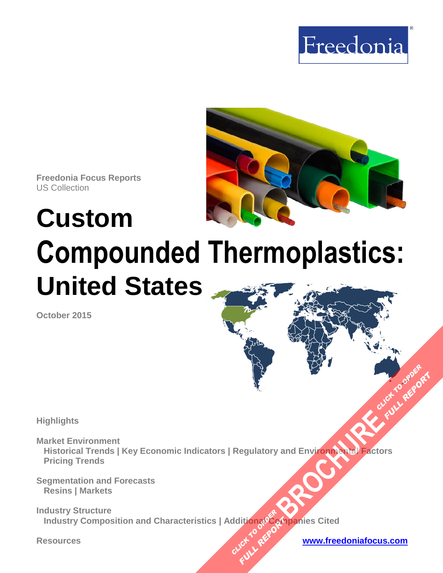



**Freedonia Focus Reports** US Collection

# **Custom Compounded Thermoplastics: United States**

**October 2015**

**Highlights** 

**Market Environment Historical Trends | Key Economic Indicators | Regulatory and Environmental Factors Pricing Trends [BROCHURE](http://www.freedoniagroup.com/FocusDetails.aspx?ReferrerId=FM-FocusBro&ReportID=FF55033)AD CLICK TO ORDER**<br>
A CLICK TO ORDER

**Segmentation and Forecasts Resins | Markets** 

**Industry Structure Industry Composition and Characteristics | Additional Companies Cited CLICK TO REPORT FULL REPORT** 

**Resources [www.freedoniafocus.com](http://www.freedoniagroup.com/FocusReports.aspx?ReferrerId=FM-FocusBro)**

**FULL REPORT**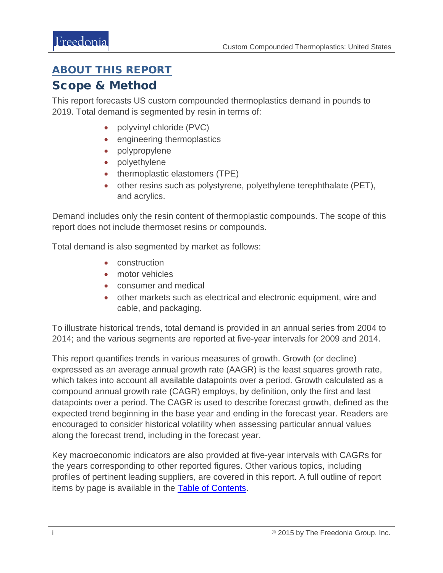## <span id="page-1-0"></span>ABOUT THIS REPORT

## Scope & Method

This report forecasts US custom compounded thermoplastics demand in pounds to 2019. Total demand is segmented by resin in terms of:

- polyvinyl chloride (PVC)
- engineering thermoplastics
- polypropylene
- polyethylene
- thermoplastic elastomers (TPE)
- other resins such as polystyrene, polyethylene terephthalate (PET), and acrylics.

Demand includes only the resin content of thermoplastic compounds. The scope of this report does not include thermoset resins or compounds.

Total demand is also segmented by market as follows:

- construction
- motor vehicles
- consumer and medical
- other markets such as electrical and electronic equipment, wire and cable, and packaging.

To illustrate historical trends, total demand is provided in an annual series from 2004 to 2014; and the various segments are reported at five-year intervals for 2009 and 2014.

This report quantifies trends in various measures of growth. Growth (or decline) expressed as an average annual growth rate (AAGR) is the least squares growth rate, which takes into account all available datapoints over a period. Growth calculated as a compound annual growth rate (CAGR) employs, by definition, only the first and last datapoints over a period. The CAGR is used to describe forecast growth, defined as the expected trend beginning in the base year and ending in the forecast year. Readers are encouraged to consider historical volatility when assessing particular annual values along the forecast trend, including in the forecast year.

Key macroeconomic indicators are also provided at five-year intervals with CAGRs for the years corresponding to other reported figures. Other various topics, including profiles of pertinent leading suppliers, are covered in this report. A full outline of report items by page is available in the [Table of Contents.](#page-3-0)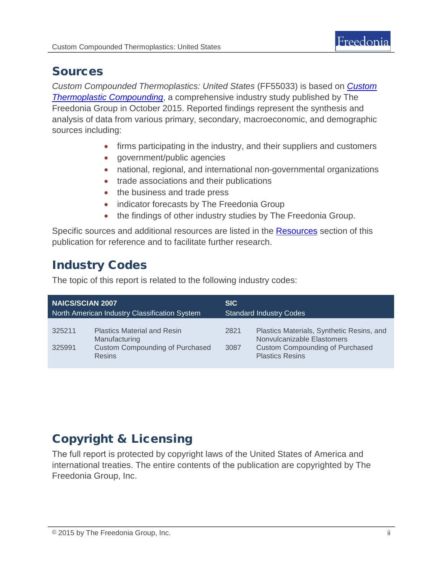## Sources

*Custom Compounded Thermoplastics: United States* (FF55033) is based on *[Custom](http://www.freedoniagroup.com/DocumentDetails.aspx?ReferrerId=FL-FOCUS&studyid=3336)  [Thermoplastic Compounding](http://www.freedoniagroup.com/DocumentDetails.aspx?ReferrerId=FL-FOCUS&studyid=3336)*, a comprehensive industry study published by The Freedonia Group in October 2015. Reported findings represent the synthesis and analysis of data from various primary, secondary, macroeconomic, and demographic sources including:

- firms participating in the industry, and their suppliers and customers
- government/public agencies
- national, regional, and international non-governmental organizations
- trade associations and their publications
- the business and trade press
- indicator forecasts by The Freedonia Group
- the findings of other industry studies by The Freedonia Group.

Specific sources and additional resources are listed in the [Resources](#page-4-0) section of this publication for reference and to facilitate further research.

# Industry Codes

The topic of this report is related to the following industry codes:

| <b>NAICS/SCIAN 2007</b>                       |                                                                                                                | <b>SIC</b>                     |                                                                                                                                             |
|-----------------------------------------------|----------------------------------------------------------------------------------------------------------------|--------------------------------|---------------------------------------------------------------------------------------------------------------------------------------------|
| North American Industry Classification System |                                                                                                                | <b>Standard Industry Codes</b> |                                                                                                                                             |
| 325211<br>325991                              | <b>Plastics Material and Resin</b><br>Manufacturing<br><b>Custom Compounding of Purchased</b><br><b>Resins</b> | 2821<br>3087                   | Plastics Materials, Synthetic Resins, and<br>Nonvulcanizable Elastomers<br><b>Custom Compounding of Purchased</b><br><b>Plastics Resins</b> |

# Copyright & Licensing

The full report is protected by copyright laws of the United States of America and international treaties. The entire contents of the publication are copyrighted by The Freedonia Group, Inc.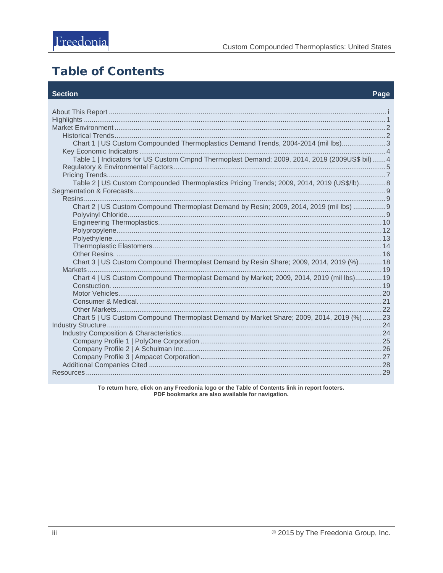## <span id="page-3-0"></span>**Table of Contents**

#### **Section**

| Chart 1   US Custom Compounded Thermoplastics Demand Trends, 2004-2014 (mil lbs)3<br>Table 1   Indicators for US Custom Cmpnd Thermoplast Demand; 2009, 2014, 2019 (2009US\$ bil)  4<br>Table 2   US Custom Compounded Thermoplastics Pricing Trends; 2009, 2014, 2019 (US\$/lb)8<br>Chart 2   US Custom Compound Thermoplast Demand by Resin; 2009, 2014, 2019 (mil lbs)  9<br>Chart 3   US Custom Compound Thermoplast Demand by Resin Share; 2009, 2014, 2019 (%) 18<br>Chart 4   US Custom Compound Thermoplast Demand by Market; 2009, 2014, 2019 (mil lbs) 19<br>Chart 5   US Custom Compound Thermoplast Demand by Market Share; 2009, 2014, 2019 (%)  23 |  |
|------------------------------------------------------------------------------------------------------------------------------------------------------------------------------------------------------------------------------------------------------------------------------------------------------------------------------------------------------------------------------------------------------------------------------------------------------------------------------------------------------------------------------------------------------------------------------------------------------------------------------------------------------------------|--|
|                                                                                                                                                                                                                                                                                                                                                                                                                                                                                                                                                                                                                                                                  |  |
|                                                                                                                                                                                                                                                                                                                                                                                                                                                                                                                                                                                                                                                                  |  |
|                                                                                                                                                                                                                                                                                                                                                                                                                                                                                                                                                                                                                                                                  |  |
|                                                                                                                                                                                                                                                                                                                                                                                                                                                                                                                                                                                                                                                                  |  |
|                                                                                                                                                                                                                                                                                                                                                                                                                                                                                                                                                                                                                                                                  |  |
|                                                                                                                                                                                                                                                                                                                                                                                                                                                                                                                                                                                                                                                                  |  |
|                                                                                                                                                                                                                                                                                                                                                                                                                                                                                                                                                                                                                                                                  |  |
|                                                                                                                                                                                                                                                                                                                                                                                                                                                                                                                                                                                                                                                                  |  |
|                                                                                                                                                                                                                                                                                                                                                                                                                                                                                                                                                                                                                                                                  |  |
|                                                                                                                                                                                                                                                                                                                                                                                                                                                                                                                                                                                                                                                                  |  |
|                                                                                                                                                                                                                                                                                                                                                                                                                                                                                                                                                                                                                                                                  |  |
|                                                                                                                                                                                                                                                                                                                                                                                                                                                                                                                                                                                                                                                                  |  |
|                                                                                                                                                                                                                                                                                                                                                                                                                                                                                                                                                                                                                                                                  |  |
|                                                                                                                                                                                                                                                                                                                                                                                                                                                                                                                                                                                                                                                                  |  |
|                                                                                                                                                                                                                                                                                                                                                                                                                                                                                                                                                                                                                                                                  |  |
|                                                                                                                                                                                                                                                                                                                                                                                                                                                                                                                                                                                                                                                                  |  |
|                                                                                                                                                                                                                                                                                                                                                                                                                                                                                                                                                                                                                                                                  |  |
|                                                                                                                                                                                                                                                                                                                                                                                                                                                                                                                                                                                                                                                                  |  |
|                                                                                                                                                                                                                                                                                                                                                                                                                                                                                                                                                                                                                                                                  |  |
|                                                                                                                                                                                                                                                                                                                                                                                                                                                                                                                                                                                                                                                                  |  |
|                                                                                                                                                                                                                                                                                                                                                                                                                                                                                                                                                                                                                                                                  |  |
|                                                                                                                                                                                                                                                                                                                                                                                                                                                                                                                                                                                                                                                                  |  |
|                                                                                                                                                                                                                                                                                                                                                                                                                                                                                                                                                                                                                                                                  |  |
|                                                                                                                                                                                                                                                                                                                                                                                                                                                                                                                                                                                                                                                                  |  |
|                                                                                                                                                                                                                                                                                                                                                                                                                                                                                                                                                                                                                                                                  |  |
|                                                                                                                                                                                                                                                                                                                                                                                                                                                                                                                                                                                                                                                                  |  |
|                                                                                                                                                                                                                                                                                                                                                                                                                                                                                                                                                                                                                                                                  |  |
|                                                                                                                                                                                                                                                                                                                                                                                                                                                                                                                                                                                                                                                                  |  |
|                                                                                                                                                                                                                                                                                                                                                                                                                                                                                                                                                                                                                                                                  |  |
|                                                                                                                                                                                                                                                                                                                                                                                                                                                                                                                                                                                                                                                                  |  |
|                                                                                                                                                                                                                                                                                                                                                                                                                                                                                                                                                                                                                                                                  |  |
|                                                                                                                                                                                                                                                                                                                                                                                                                                                                                                                                                                                                                                                                  |  |
|                                                                                                                                                                                                                                                                                                                                                                                                                                                                                                                                                                                                                                                                  |  |

To return here, click on any Freedonia logo or the Table of Contents link in report footers.<br>PDF bookmarks are also available for navigation.